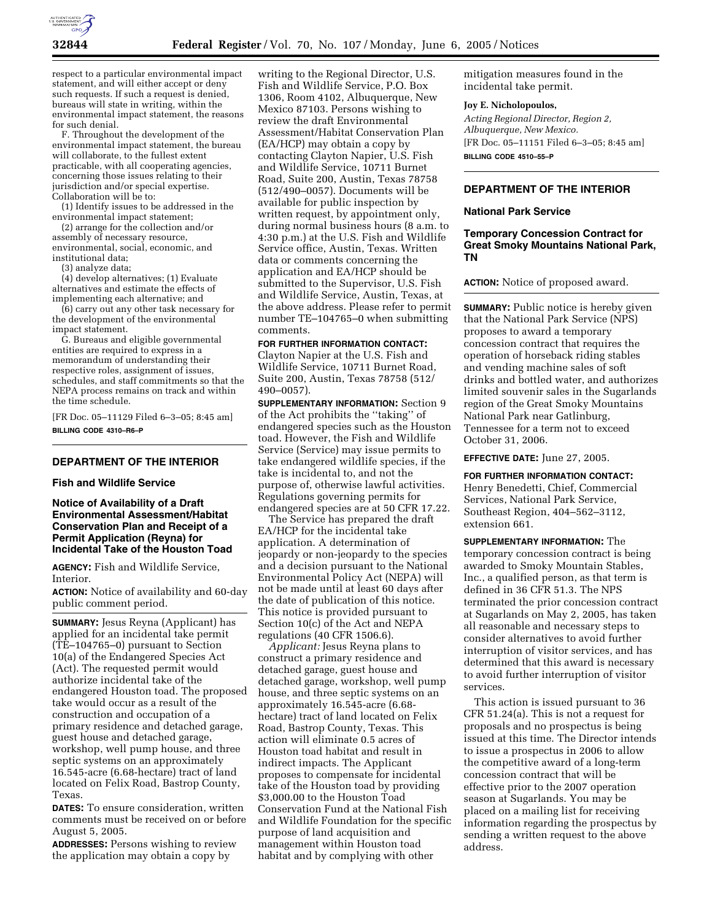

respect to a particular environmental impact statement, and will either accept or deny such requests. If such a request is denied, bureaus will state in writing, within the environmental impact statement, the reasons for such denial.

F. Throughout the development of the environmental impact statement, the bureau will collaborate, to the fullest extent practicable, with all cooperating agencies, concerning those issues relating to their jurisdiction and/or special expertise. Collaboration will be to:

(1) Identify issues to be addressed in the environmental impact statement;

(2) arrange for the collection and/or assembly of necessary resource, environmental, social, economic, and institutional data;

(3) analyze data;

(4) develop alternatives; (1) Evaluate alternatives and estimate the effects of implementing each alternative; and

(6) carry out any other task necessary for the development of the environmental impact statement.

G. Bureaus and eligible governmental entities are required to express in a memorandum of understanding their respective roles, assignment of issues, schedules, and staff commitments so that the NEPA process remains on track and within the time schedule.

[FR Doc. 05–11129 Filed 6–3–05; 8:45 am] **BILLING CODE 4310–R6–P**

# **DEPARTMENT OF THE INTERIOR**

### **Fish and Wildlife Service**

## **Notice of Availability of a Draft Environmental Assessment/Habitat Conservation Plan and Receipt of a Permit Application (Reyna) for Incidental Take of the Houston Toad**

**AGENCY:** Fish and Wildlife Service, Interior.

**ACTION:** Notice of availability and 60-day public comment period.

**SUMMARY:** Jesus Reyna (Applicant) has applied for an incidental take permit (TE–104765–0) pursuant to Section 10(a) of the Endangered Species Act (Act). The requested permit would authorize incidental take of the endangered Houston toad. The proposed take would occur as a result of the construction and occupation of a primary residence and detached garage, guest house and detached garage, workshop, well pump house, and three septic systems on an approximately 16.545-acre (6.68-hectare) tract of land located on Felix Road, Bastrop County, Texas.

**DATES:** To ensure consideration, written comments must be received on or before August 5, 2005.

**ADDRESSES:** Persons wishing to review the application may obtain a copy by

writing to the Regional Director, U.S. Fish and Wildlife Service, P.O. Box 1306, Room 4102, Albuquerque, New Mexico 87103. Persons wishing to review the draft Environmental Assessment/Habitat Conservation Plan (EA/HCP) may obtain a copy by contacting Clayton Napier, U.S. Fish and Wildlife Service, 10711 Burnet Road, Suite 200, Austin, Texas 78758 (512/490–0057). Documents will be available for public inspection by written request, by appointment only, during normal business hours (8 a.m. to 4:30 p.m.) at the U.S. Fish and Wildlife Service office, Austin, Texas. Written data or comments concerning the application and EA/HCP should be submitted to the Supervisor, U.S. Fish and Wildlife Service, Austin, Texas, at the above address. Please refer to permit number TE–104765–0 when submitting comments.

# **FOR FURTHER INFORMATION CONTACT:**

Clayton Napier at the U.S. Fish and Wildlife Service, 10711 Burnet Road, Suite 200, Austin, Texas 78758 (512/ 490–0057).

**SUPPLEMENTARY INFORMATION:** Section 9 of the Act prohibits the ''taking'' of endangered species such as the Houston toad. However, the Fish and Wildlife Service (Service) may issue permits to take endangered wildlife species, if the take is incidental to, and not the purpose of, otherwise lawful activities. Regulations governing permits for endangered species are at 50 CFR 17.22.

The Service has prepared the draft EA/HCP for the incidental take application. A determination of jeopardy or non-jeopardy to the species and a decision pursuant to the National Environmental Policy Act (NEPA) will not be made until at least 60 days after the date of publication of this notice. This notice is provided pursuant to Section 10(c) of the Act and NEPA regulations (40 CFR 1506.6).

*Applicant:* Jesus Reyna plans to construct a primary residence and detached garage, guest house and detached garage, workshop, well pump house, and three septic systems on an approximately 16.545-acre (6.68 hectare) tract of land located on Felix Road, Bastrop County, Texas. This action will eliminate 0.5 acres of Houston toad habitat and result in indirect impacts. The Applicant proposes to compensate for incidental take of the Houston toad by providing \$3,000.00 to the Houston Toad Conservation Fund at the National Fish and Wildlife Foundation for the specific purpose of land acquisition and management within Houston toad habitat and by complying with other

mitigation measures found in the incidental take permit.

#### **Joy E. Nicholopoulos,**

*Acting Regional Director, Region 2, Albuquerque, New Mexico.* [FR Doc. 05–11151 Filed 6–3–05; 8:45 am] **BILLING CODE 4510–55–P**

## **DEPARTMENT OF THE INTERIOR**

#### **National Park Service**

# **Temporary Concession Contract for Great Smoky Mountains National Park, TN**

**ACTION:** Notice of proposed award.

**SUMMARY:** Public notice is hereby given that the National Park Service (NPS) proposes to award a temporary concession contract that requires the operation of horseback riding stables and vending machine sales of soft drinks and bottled water, and authorizes limited souvenir sales in the Sugarlands region of the Great Smoky Mountains National Park near Gatlinburg, Tennessee for a term not to exceed October 31, 2006.

**EFFECTIVE DATE:** June 27, 2005.

# **FOR FURTHER INFORMATION CONTACT:**

Henry Benedetti, Chief, Commercial Services, National Park Service, Southeast Region, 404–562–3112, extension 661.

**SUPPLEMENTARY INFORMATION:** The temporary concession contract is being awarded to Smoky Mountain Stables, Inc., a qualified person, as that term is defined in 36 CFR 51.3. The NPS terminated the prior concession contract at Sugarlands on May 2, 2005, has taken all reasonable and necessary steps to consider alternatives to avoid further interruption of visitor services, and has determined that this award is necessary to avoid further interruption of visitor services.

This action is issued pursuant to 36 CFR 51.24(a). This is not a request for proposals and no prospectus is being issued at this time. The Director intends to issue a prospectus in 2006 to allow the competitive award of a long-term concession contract that will be effective prior to the 2007 operation season at Sugarlands. You may be placed on a mailing list for receiving information regarding the prospectus by sending a written request to the above address.